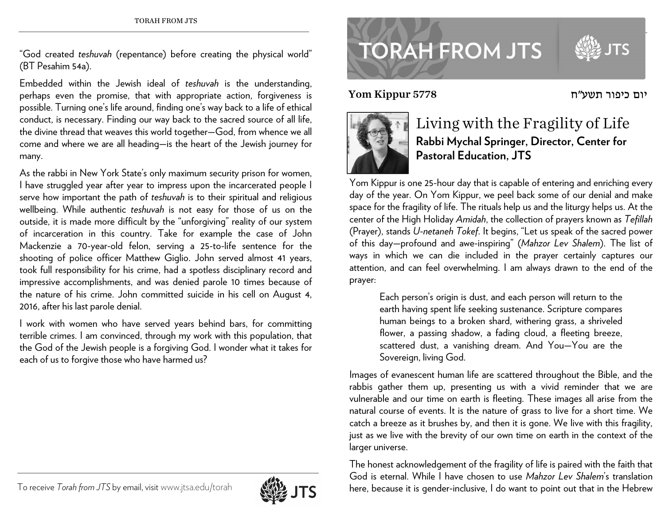"God created *teshuvah* (repentance) before creating the physical world" (BT Pesahim 54a).

Embedded within the Jewish ideal of *teshuvah* is the understanding, perhaps even the promise, that with appropriate action, forgiveness is possible. Turning one's life around, finding one's way back to a life of ethical conduct, is necessary. Finding our way back to the sacred source of all life, the divine thread that weaves this world together—God, from whence we all come and where we are all heading—is the heart of the Jewish journey for many.

As the rabbi in New York State's only maximum security prison for women, I have struggled year after year to impress upon the incarcerated people I serve how important the path of *teshuvah* is to their spiritual and religious wellbeing. While authentic *teshuvah* is not easy for those of us on the outside, it is made more difficult by the "unforgiving" reality of our system of incarceration in this country. Take for example the case of John Mackenzie a 70-year-old felon, serving a 25-to-life sentence for the shooting of police officer Matthew Giglio. John served almost 41 years, took full responsibility for his crime, had a spotless disciplinary record and impressive accomplishments, and was denied parole 10 times because of the nature of his crime. John committed suicide in his cell on August 4, 2016, after his last parole denial.

I work with women who have served years behind bars, for committing terrible crimes. I am convinced, through my work with this population, that the God of the Jewish people is a forgiving God. I wonder what it takes for each of us to forgive those who have harmed us?



Yom Kippur 5778



## Living with the Fragility of Life **Rabbi Mychal Springer, Director, Center for Pastoral Education, JTS**

יום כיפור תשע"ח

Yom Kippur is one 25-hour day that is capable of entering and enriching every day of the year. On Yom Kippur, we peel back some of our denial and make space for the fragility of life. The rituals help us and the liturgy helps us. At the center of the High Holiday *Amidah*, the collection of prayers known as *Tefillah* (Prayer), stands *U-netaneh Tokef*. It begins, "Let us speak of the sacred power of this day—profound and awe-inspiring" (*Mahzor Lev Shalem*). The list of ways in which we can die included in the prayer certainly captures our attention, and can feel overwhelming. I am always drawn to the end of the prayer:

Each person's origin is dust, and each person will return to the earth having spent life seeking sustenance. Scripture compares human beings to a broken shard, withering grass, a shriveled flower, a passing shadow, a fading cloud, a fleeting breeze, scattered dust, a vanishing dream. And You—You are the Sovereign, living God.

Images of evanescent human life are scattered throughout the Bible, and the rabbis gather them up, presenting us with a vivid reminder that we are vulnerable and our time on earth is fleeting. These images all arise from the natural course of events. It is the nature of grass to live for a short time. We catch a breeze as it brushes by, and then it is gone. We live with this fragility, just as we live with the brevity of our own time on earth in the context of the larger universe.

The honest acknowledgement of the fragility of life is paired with the faith that God is eternal. While I have chosen to use *Mahzor Lev Shalem*'s translation here, because it is gender-inclusive, I do want to point out that in the Hebrew